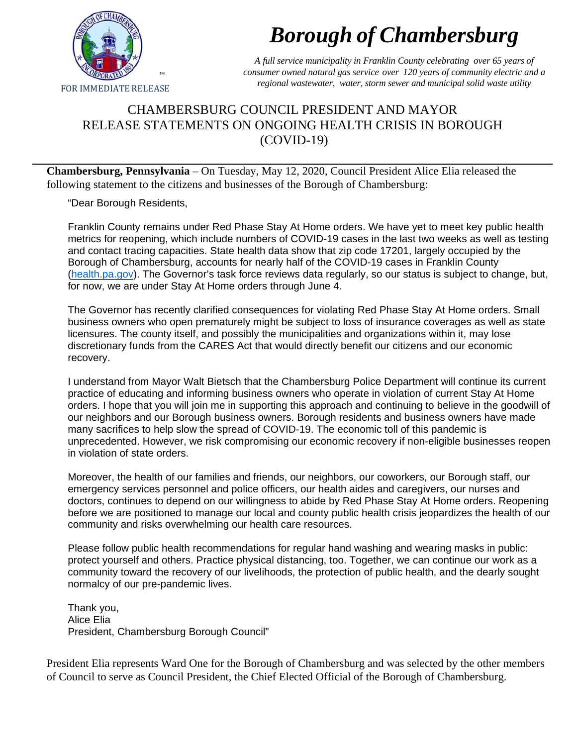

## *Borough of Chambersburg*

*A full service municipality in Franklin County celebrating over 65 years of consumer owned natural gas service over 120 years of community electric and a regional wastewater, water, storm sewer and municipal solid waste utility*

## CHAMBERSBURG COUNCIL PRESIDENT AND MAYOR RELEASE STATEMENTS ON ONGOING HEALTH CRISIS IN BOROUGH (COVID-19)

**Chambersburg, Pennsylvania** – On Tuesday, May 12, 2020, Council President Alice Elia released the following statement to the citizens and businesses of the Borough of Chambersburg:

"Dear Borough Residents,

Franklin County remains under Red Phase Stay At Home orders. We have yet to meet key public health metrics for reopening, which include numbers of COVID-19 cases in the last two weeks as well as testing and contact tracing capacities. State health data show that zip code 17201, largely occupied by the Borough of Chambersburg, accounts for nearly half of the COVID-19 cases in Franklin County (health.pa.gov). The Governor's task force reviews data regularly, so our status is subject to change, but, for now, we are under Stay At Home orders through June 4.

The Governor has recently clarified consequences for violating Red Phase Stay At Home orders. Small business owners who open prematurely might be subject to loss of insurance coverages as well as state licensures. The county itself, and possibly the municipalities and organizations within it, may lose discretionary funds from the CARES Act that would directly benefit our citizens and our economic recovery.

I understand from Mayor Walt Bietsch that the Chambersburg Police Department will continue its current practice of educating and informing business owners who operate in violation of current Stay At Home orders. I hope that you will join me in supporting this approach and continuing to believe in the goodwill of our neighbors and our Borough business owners. Borough residents and business owners have made many sacrifices to help slow the spread of COVID-19. The economic toll of this pandemic is unprecedented. However, we risk compromising our economic recovery if non-eligible businesses reopen in violation of state orders.

Moreover, the health of our families and friends, our neighbors, our coworkers, our Borough staff, our emergency services personnel and police officers, our health aides and caregivers, our nurses and doctors, continues to depend on our willingness to abide by Red Phase Stay At Home orders. Reopening before we are positioned to manage our local and county public health crisis jeopardizes the health of our community and risks overwhelming our health care resources.

Please follow public health recommendations for regular hand washing and wearing masks in public: protect yourself and others. Practice physical distancing, too. Together, we can continue our work as a community toward the recovery of our livelihoods, the protection of public health, and the dearly sought normalcy of our pre-pandemic lives.

Thank you, Alice Elia President, Chambersburg Borough Council"

President Elia represents Ward One for the Borough of Chambersburg and was selected by the other members of Council to serve as Council President, the Chief Elected Official of the Borough of Chambersburg.